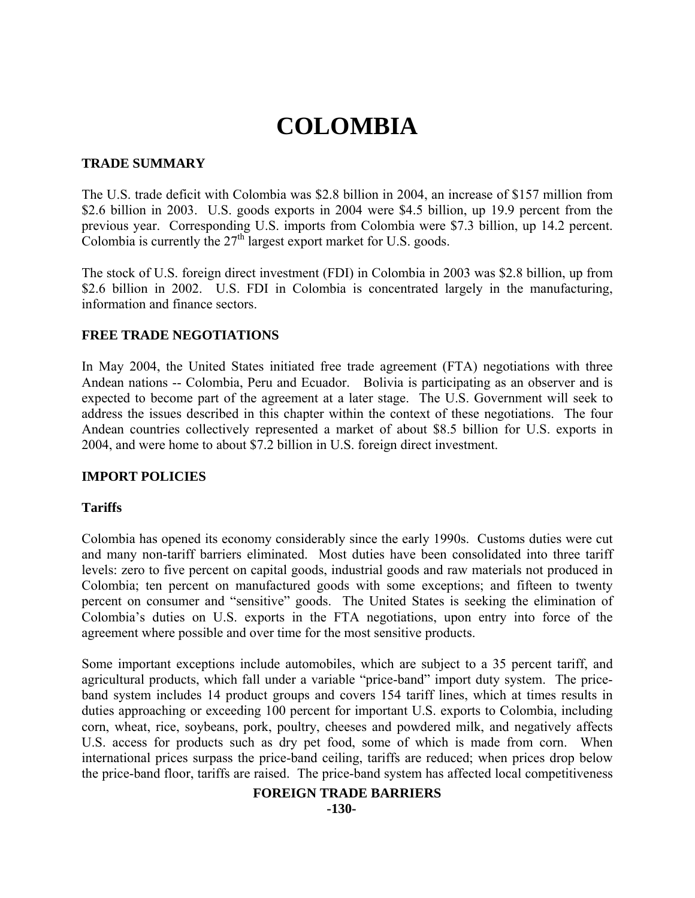# **COLOMBIA**

#### **TRADE SUMMARY**

The U.S. trade deficit with Colombia was \$2.8 billion in 2004, an increase of \$157 million from \$2.6 billion in 2003. U.S. goods exports in 2004 were \$4.5 billion, up 19.9 percent from the previous year. Corresponding U.S. imports from Colombia were \$7.3 billion, up 14.2 percent. Colombia is currently the  $27<sup>th</sup>$  largest export market for U.S. goods.

The stock of U.S. foreign direct investment (FDI) in Colombia in 2003 was \$2.8 billion, up from \$2.6 billion in 2002. U.S. FDI in Colombia is concentrated largely in the manufacturing, information and finance sectors.

## **FREE TRADE NEGOTIATIONS**

In May 2004, the United States initiated free trade agreement (FTA) negotiations with three Andean nations -- Colombia, Peru and Ecuador. Bolivia is participating as an observer and is expected to become part of the agreement at a later stage. The U.S. Government will seek to address the issues described in this chapter within the context of these negotiations. The four Andean countries collectively represented a market of about \$8.5 billion for U.S. exports in 2004, and were home to about \$7.2 billion in U.S. foreign direct investment.

#### **IMPORT POLICIES**

#### **Tariffs**

Colombia has opened its economy considerably since the early 1990s. Customs duties were cut and many non-tariff barriers eliminated. Most duties have been consolidated into three tariff levels: zero to five percent on capital goods, industrial goods and raw materials not produced in Colombia; ten percent on manufactured goods with some exceptions; and fifteen to twenty percent on consumer and "sensitive" goods. The United States is seeking the elimination of Colombia's duties on U.S. exports in the FTA negotiations, upon entry into force of the agreement where possible and over time for the most sensitive products.

Some important exceptions include automobiles, which are subject to a 35 percent tariff, and agricultural products, which fall under a variable "price-band" import duty system. The priceband system includes 14 product groups and covers 154 tariff lines, which at times results in duties approaching or exceeding 100 percent for important U.S. exports to Colombia, including corn, wheat, rice, soybeans, pork, poultry, cheeses and powdered milk, and negatively affects U.S. access for products such as dry pet food, some of which is made from corn. When international prices surpass the price-band ceiling, tariffs are reduced; when prices drop below the price-band floor, tariffs are raised. The price-band system has affected local competitiveness

#### **FOREIGN TRADE BARRIERS**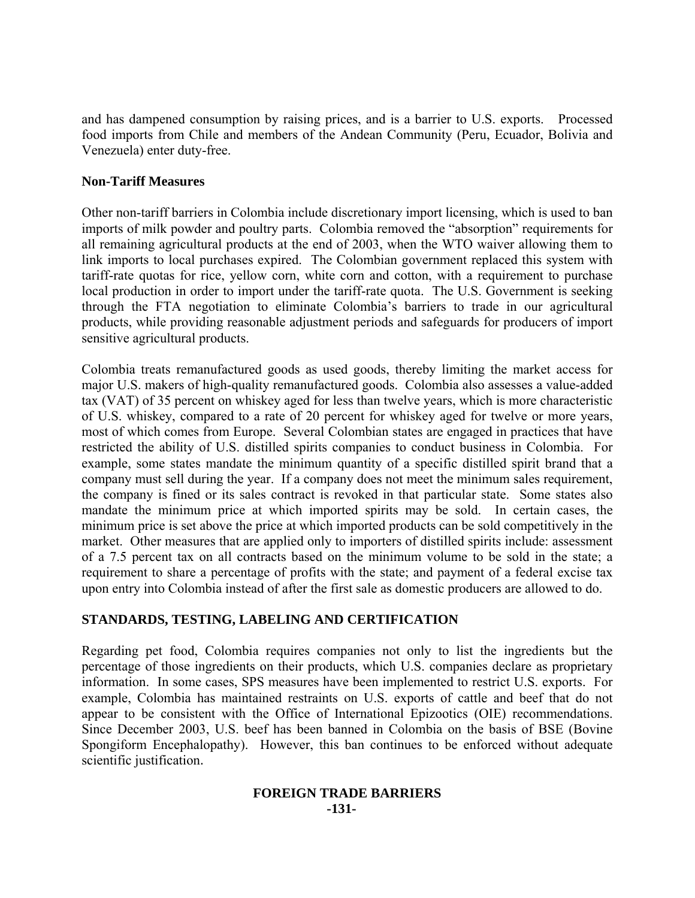and has dampened consumption by raising prices, and is a barrier to U.S. exports. Processed food imports from Chile and members of the Andean Community (Peru, Ecuador, Bolivia and Venezuela) enter duty-free.

#### **Non-Tariff Measures**

Other non-tariff barriers in Colombia include discretionary import licensing, which is used to ban imports of milk powder and poultry parts. Colombia removed the "absorption" requirements for all remaining agricultural products at the end of 2003, when the WTO waiver allowing them to link imports to local purchases expired. The Colombian government replaced this system with tariff-rate quotas for rice, yellow corn, white corn and cotton, with a requirement to purchase local production in order to import under the tariff-rate quota. The U.S. Government is seeking through the FTA negotiation to eliminate Colombia's barriers to trade in our agricultural products, while providing reasonable adjustment periods and safeguards for producers of import sensitive agricultural products.

Colombia treats remanufactured goods as used goods, thereby limiting the market access for major U.S. makers of high-quality remanufactured goods. Colombia also assesses a value-added tax (VAT) of 35 percent on whiskey aged for less than twelve years, which is more characteristic of U.S. whiskey, compared to a rate of 20 percent for whiskey aged for twelve or more years, most of which comes from Europe. Several Colombian states are engaged in practices that have restricted the ability of U.S. distilled spirits companies to conduct business in Colombia. For example, some states mandate the minimum quantity of a specific distilled spirit brand that a company must sell during the year. If a company does not meet the minimum sales requirement, the company is fined or its sales contract is revoked in that particular state. Some states also mandate the minimum price at which imported spirits may be sold. In certain cases, the minimum price is set above the price at which imported products can be sold competitively in the market. Other measures that are applied only to importers of distilled spirits include: assessment of a 7.5 percent tax on all contracts based on the minimum volume to be sold in the state; a requirement to share a percentage of profits with the state; and payment of a federal excise tax upon entry into Colombia instead of after the first sale as domestic producers are allowed to do.

# **STANDARDS, TESTING, LABELING AND CERTIFICATION**

Regarding pet food, Colombia requires companies not only to list the ingredients but the percentage of those ingredients on their products, which U.S. companies declare as proprietary information. In some cases, SPS measures have been implemented to restrict U.S. exports. For example, Colombia has maintained restraints on U.S. exports of cattle and beef that do not appear to be consistent with the Office of International Epizootics (OIE) recommendations. Since December 2003, U.S. beef has been banned in Colombia on the basis of BSE (Bovine Spongiform Encephalopathy). However, this ban continues to be enforced without adequate scientific justification.

#### **FOREIGN TRADE BARRIERS -131-**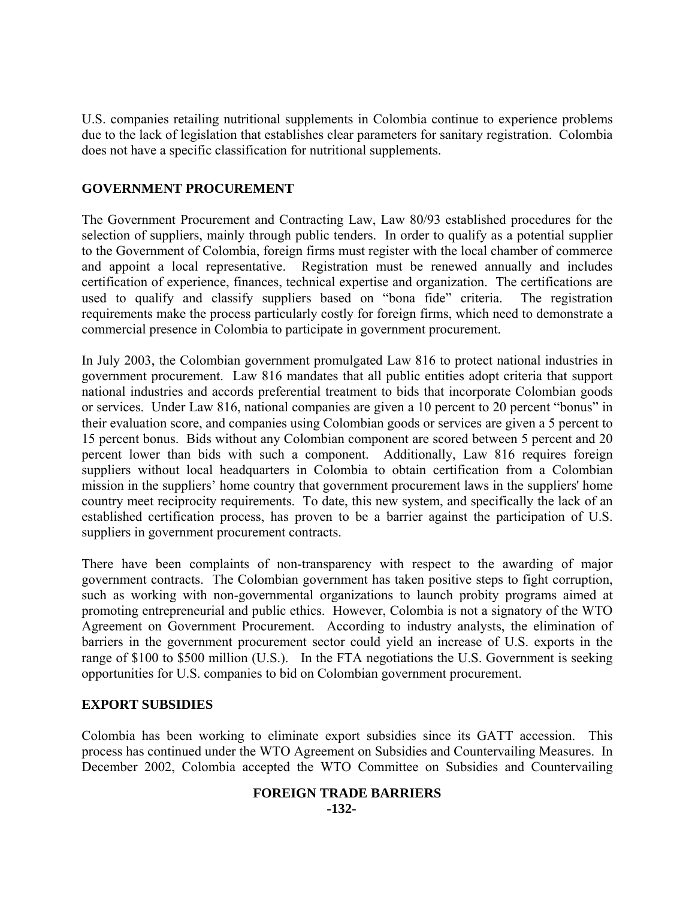U.S. companies retailing nutritional supplements in Colombia continue to experience problems due to the lack of legislation that establishes clear parameters for sanitary registration. Colombia does not have a specific classification for nutritional supplements.

## **GOVERNMENT PROCUREMENT**

The Government Procurement and Contracting Law, Law 80/93 established procedures for the selection of suppliers, mainly through public tenders. In order to qualify as a potential supplier to the Government of Colombia, foreign firms must register with the local chamber of commerce and appoint a local representative. Registration must be renewed annually and includes certification of experience, finances, technical expertise and organization. The certifications are used to qualify and classify suppliers based on "bona fide" criteria. The registration requirements make the process particularly costly for foreign firms, which need to demonstrate a commercial presence in Colombia to participate in government procurement.

In July 2003, the Colombian government promulgated Law 816 to protect national industries in government procurement. Law 816 mandates that all public entities adopt criteria that support national industries and accords preferential treatment to bids that incorporate Colombian goods or services. Under Law 816, national companies are given a 10 percent to 20 percent "bonus" in their evaluation score, and companies using Colombian goods or services are given a 5 percent to 15 percent bonus. Bids without any Colombian component are scored between 5 percent and 20 percent lower than bids with such a component. Additionally, Law 816 requires foreign suppliers without local headquarters in Colombia to obtain certification from a Colombian mission in the suppliers' home country that government procurement laws in the suppliers' home country meet reciprocity requirements. To date, this new system, and specifically the lack of an established certification process, has proven to be a barrier against the participation of U.S. suppliers in government procurement contracts.

There have been complaints of non-transparency with respect to the awarding of major government contracts. The Colombian government has taken positive steps to fight corruption, such as working with non-governmental organizations to launch probity programs aimed at promoting entrepreneurial and public ethics. However, Colombia is not a signatory of the WTO Agreement on Government Procurement. According to industry analysts, the elimination of barriers in the government procurement sector could yield an increase of U.S. exports in the range of \$100 to \$500 million (U.S.). In the FTA negotiations the U.S. Government is seeking opportunities for U.S. companies to bid on Colombian government procurement.

# **EXPORT SUBSIDIES**

Colombia has been working to eliminate export subsidies since its GATT accession. This process has continued under the WTO Agreement on Subsidies and Countervailing Measures. In December 2002, Colombia accepted the WTO Committee on Subsidies and Countervailing

#### **FOREIGN TRADE BARRIERS -132-**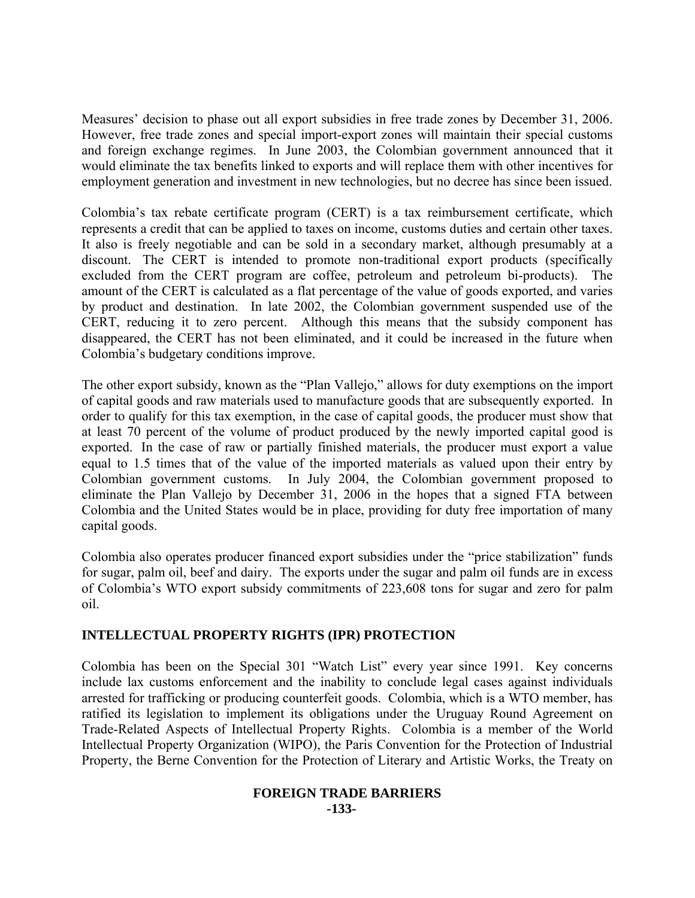Measures' decision to phase out all export subsidies in free trade zones by December 31, 2006. However, free trade zones and special import-export zones will maintain their special customs and foreign exchange regimes. In June 2003, the Colombian government announced that it would eliminate the tax benefits linked to exports and will replace them with other incentives for employment generation and investment in new technologies, but no decree has since been issued.

Colombia's tax rebate certificate program (CERT) is a tax reimbursement certificate, which represents a credit that can be applied to taxes on income, customs duties and certain other taxes. It also is freely negotiable and can be sold in a secondary market, although presumably at a discount. The CERT is intended to promote non-traditional export products (specifically excluded from the CERT program are coffee, petroleum and petroleum bi-products). The amount of the CERT is calculated as a flat percentage of the value of goods exported, and varies by product and destination. In late 2002, the Colombian government suspended use of the CERT, reducing it to zero percent. Although this means that the subsidy component has disappeared, the CERT has not been eliminated, and it could be increased in the future when Colombia's budgetary conditions improve.

The other export subsidy, known as the "Plan Vallejo," allows for duty exemptions on the import of capital goods and raw materials used to manufacture goods that are subsequently exported. In order to qualify for this tax exemption, in the case of capital goods, the producer must show that at least 70 percent of the volume of product produced by the newly imported capital good is exported. In the case of raw or partially finished materials, the producer must export a value equal to 1.5 times that of the value of the imported materials as valued upon their entry by Colombian government customs. In July 2004, the Colombian government proposed to eliminate the Plan Vallejo by December 31, 2006 in the hopes that a signed FTA between Colombia and the United States would be in place, providing for duty free importation of many capital goods.

Colombia also operates producer financed export subsidies under the "price stabilization" funds for sugar, palm oil, beef and dairy. The exports under the sugar and palm oil funds are in excess of Colombia's WTO export subsidy commitments of 223,608 tons for sugar and zero for palm oil.

#### **INTELLECTUAL PROPERTY RIGHTS (IPR) PROTECTION**

Colombia has been on the Special 301 "Watch List" every year since 1991. Key concerns include lax customs enforcement and the inability to conclude legal cases against individuals arrested for trafficking or producing counterfeit goods. Colombia, which is a WTO member, has ratified its legislation to implement its obligations under the Uruguay Round Agreement on Trade-Related Aspects of Intellectual Property Rights. Colombia is a member of the World Intellectual Property Organization (WIPO), the Paris Convention for the Protection of Industrial Property, the Berne Convention for the Protection of Literary and Artistic Works, the Treaty on

#### **FOREIGN TRADE BARRIERS -133-**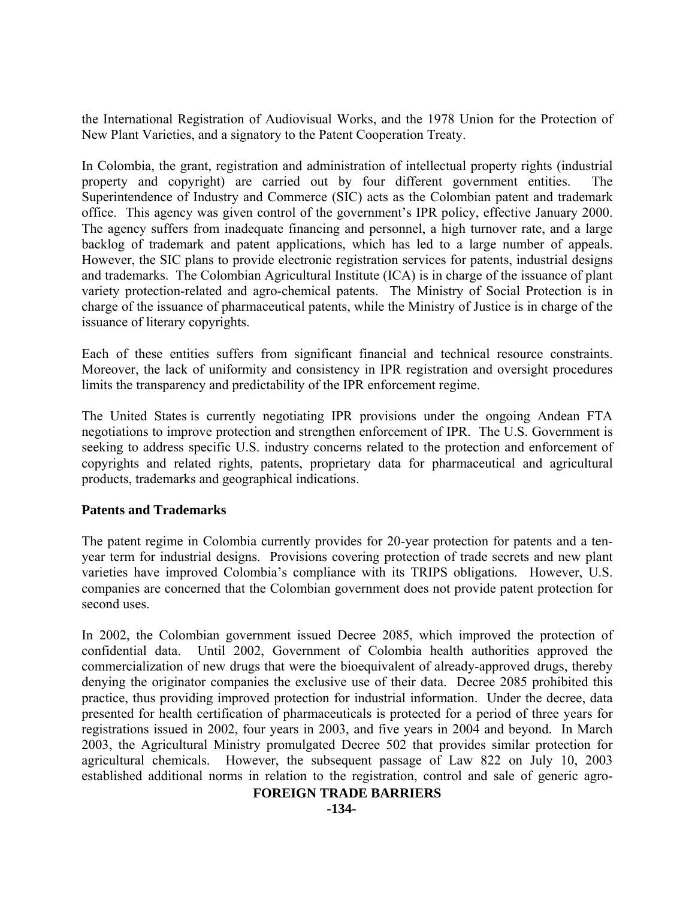the International Registration of Audiovisual Works, and the 1978 Union for the Protection of New Plant Varieties, and a signatory to the Patent Cooperation Treaty.

In Colombia, the grant, registration and administration of intellectual property rights (industrial property and copyright) are carried out by four different government entities. The Superintendence of Industry and Commerce (SIC) acts as the Colombian patent and trademark office. This agency was given control of the government's IPR policy, effective January 2000. The agency suffers from inadequate financing and personnel, a high turnover rate, and a large backlog of trademark and patent applications, which has led to a large number of appeals. However, the SIC plans to provide electronic registration services for patents, industrial designs and trademarks. The Colombian Agricultural Institute (ICA) is in charge of the issuance of plant variety protection-related and agro-chemical patents. The Ministry of Social Protection is in charge of the issuance of pharmaceutical patents, while the Ministry of Justice is in charge of the issuance of literary copyrights.

Each of these entities suffers from significant financial and technical resource constraints. Moreover, the lack of uniformity and consistency in IPR registration and oversight procedures limits the transparency and predictability of the IPR enforcement regime.

The United States is currently negotiating IPR provisions under the ongoing Andean FTA negotiations to improve protection and strengthen enforcement of IPR. The U.S. Government is seeking to address specific U.S. industry concerns related to the protection and enforcement of copyrights and related rights, patents, proprietary data for pharmaceutical and agricultural products, trademarks and geographical indications.

# **Patents and Trademarks**

The patent regime in Colombia currently provides for 20-year protection for patents and a tenyear term for industrial designs. Provisions covering protection of trade secrets and new plant varieties have improved Colombia's compliance with its TRIPS obligations. However, U.S. companies are concerned that the Colombian government does not provide patent protection for second uses.

In 2002, the Colombian government issued Decree 2085, which improved the protection of confidential data. Until 2002, Government of Colombia health authorities approved the commercialization of new drugs that were the bioequivalent of already-approved drugs, thereby denying the originator companies the exclusive use of their data. Decree 2085 prohibited this practice, thus providing improved protection for industrial information. Under the decree, data presented for health certification of pharmaceuticals is protected for a period of three years for registrations issued in 2002, four years in 2003, and five years in 2004 and beyond. In March 2003, the Agricultural Ministry promulgated Decree 502 that provides similar protection for agricultural chemicals. However, the subsequent passage of Law 822 on July 10, 2003 established additional norms in relation to the registration, control and sale of generic agro-

#### **FOREIGN TRADE BARRIERS**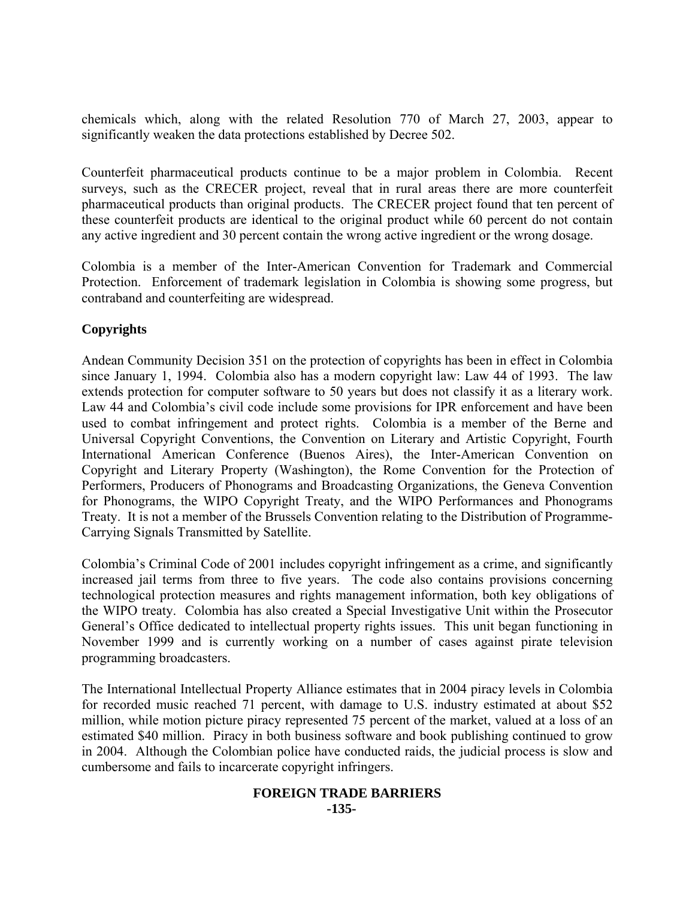chemicals which, along with the related Resolution 770 of March 27, 2003, appear to significantly weaken the data protections established by Decree 502.

Counterfeit pharmaceutical products continue to be a major problem in Colombia. Recent surveys, such as the CRECER project, reveal that in rural areas there are more counterfeit pharmaceutical products than original products. The CRECER project found that ten percent of these counterfeit products are identical to the original product while 60 percent do not contain any active ingredient and 30 percent contain the wrong active ingredient or the wrong dosage.

Colombia is a member of the Inter-American Convention for Trademark and Commercial Protection. Enforcement of trademark legislation in Colombia is showing some progress, but contraband and counterfeiting are widespread.

# **Copyrights**

Andean Community Decision 351 on the protection of copyrights has been in effect in Colombia since January 1, 1994. Colombia also has a modern copyright law: Law 44 of 1993. The law extends protection for computer software to 50 years but does not classify it as a literary work. Law 44 and Colombia's civil code include some provisions for IPR enforcement and have been used to combat infringement and protect rights. Colombia is a member of the Berne and Universal Copyright Conventions, the Convention on Literary and Artistic Copyright, Fourth International American Conference (Buenos Aires), the Inter-American Convention on Copyright and Literary Property (Washington), the Rome Convention for the Protection of Performers, Producers of Phonograms and Broadcasting Organizations, the Geneva Convention for Phonograms, the WIPO Copyright Treaty, and the WIPO Performances and Phonograms Treaty. It is not a member of the Brussels Convention relating to the Distribution of Programme-Carrying Signals Transmitted by Satellite.

Colombia's Criminal Code of 2001 includes copyright infringement as a crime, and significantly increased jail terms from three to five years. The code also contains provisions concerning technological protection measures and rights management information, both key obligations of the WIPO treaty. Colombia has also created a Special Investigative Unit within the Prosecutor General's Office dedicated to intellectual property rights issues. This unit began functioning in November 1999 and is currently working on a number of cases against pirate television programming broadcasters.

The International Intellectual Property Alliance estimates that in 2004 piracy levels in Colombia for recorded music reached 71 percent, with damage to U.S. industry estimated at about \$52 million, while motion picture piracy represented 75 percent of the market, valued at a loss of an estimated \$40 million. Piracy in both business software and book publishing continued to grow in 2004. Although the Colombian police have conducted raids, the judicial process is slow and cumbersome and fails to incarcerate copyright infringers.

#### **FOREIGN TRADE BARRIERS -135-**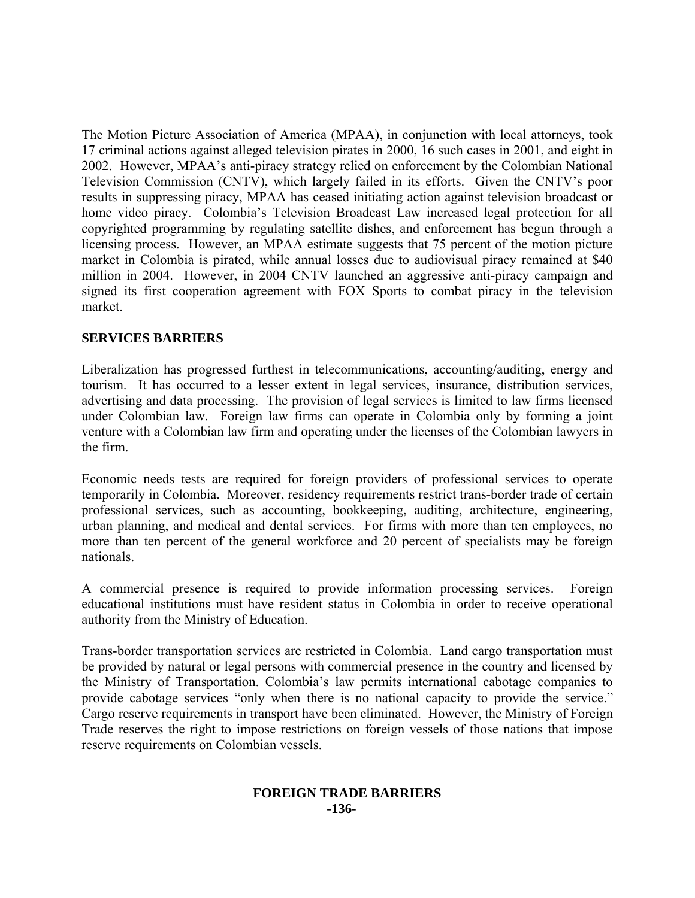The Motion Picture Association of America (MPAA), in conjunction with local attorneys, took 17 criminal actions against alleged television pirates in 2000, 16 such cases in 2001, and eight in 2002. However, MPAA's anti-piracy strategy relied on enforcement by the Colombian National Television Commission (CNTV), which largely failed in its efforts. Given the CNTV's poor results in suppressing piracy, MPAA has ceased initiating action against television broadcast or home video piracy. Colombia's Television Broadcast Law increased legal protection for all copyrighted programming by regulating satellite dishes, and enforcement has begun through a licensing process. However, an MPAA estimate suggests that 75 percent of the motion picture market in Colombia is pirated, while annual losses due to audiovisual piracy remained at \$40 million in 2004. However, in 2004 CNTV launched an aggressive anti-piracy campaign and signed its first cooperation agreement with FOX Sports to combat piracy in the television market.

## **SERVICES BARRIERS**

Liberalization has progressed furthest in telecommunications, accounting/auditing, energy and tourism. It has occurred to a lesser extent in legal services, insurance, distribution services, advertising and data processing. The provision of legal services is limited to law firms licensed under Colombian law. Foreign law firms can operate in Colombia only by forming a joint venture with a Colombian law firm and operating under the licenses of the Colombian lawyers in the firm.

Economic needs tests are required for foreign providers of professional services to operate temporarily in Colombia. Moreover, residency requirements restrict trans-border trade of certain professional services, such as accounting, bookkeeping, auditing, architecture, engineering, urban planning, and medical and dental services. For firms with more than ten employees, no more than ten percent of the general workforce and 20 percent of specialists may be foreign nationals.

A commercial presence is required to provide information processing services. Foreign educational institutions must have resident status in Colombia in order to receive operational authority from the Ministry of Education.

Trans-border transportation services are restricted in Colombia. Land cargo transportation must be provided by natural or legal persons with commercial presence in the country and licensed by the Ministry of Transportation. Colombia's law permits international cabotage companies to provide cabotage services "only when there is no national capacity to provide the service." Cargo reserve requirements in transport have been eliminated. However, the Ministry of Foreign Trade reserves the right to impose restrictions on foreign vessels of those nations that impose reserve requirements on Colombian vessels.

#### **FOREIGN TRADE BARRIERS -136-**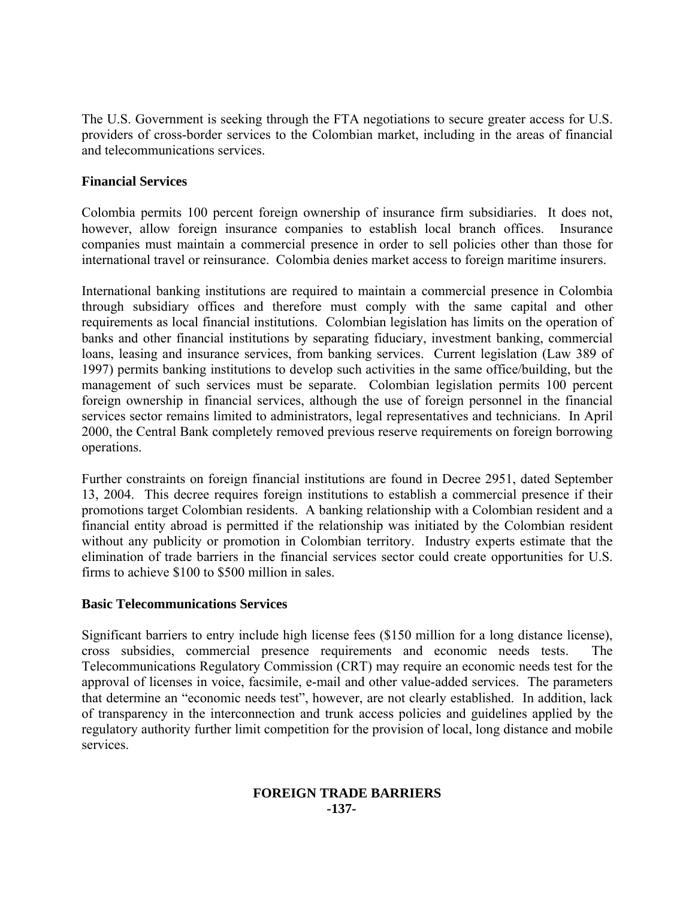The U.S. Government is seeking through the FTA negotiations to secure greater access for U.S. providers of cross-border services to the Colombian market, including in the areas of financial and telecommunications services.

#### **Financial Services**

Colombia permits 100 percent foreign ownership of insurance firm subsidiaries. It does not, however, allow foreign insurance companies to establish local branch offices. Insurance companies must maintain a commercial presence in order to sell policies other than those for international travel or reinsurance. Colombia denies market access to foreign maritime insurers.

International banking institutions are required to maintain a commercial presence in Colombia through subsidiary offices and therefore must comply with the same capital and other requirements as local financial institutions. Colombian legislation has limits on the operation of banks and other financial institutions by separating fiduciary, investment banking, commercial loans, leasing and insurance services, from banking services. Current legislation (Law 389 of 1997) permits banking institutions to develop such activities in the same office/building, but the management of such services must be separate. Colombian legislation permits 100 percent foreign ownership in financial services, although the use of foreign personnel in the financial services sector remains limited to administrators, legal representatives and technicians. In April 2000, the Central Bank completely removed previous reserve requirements on foreign borrowing operations.

Further constraints on foreign financial institutions are found in Decree 2951, dated September 13, 2004. This decree requires foreign institutions to establish a commercial presence if their promotions target Colombian residents. A banking relationship with a Colombian resident and a financial entity abroad is permitted if the relationship was initiated by the Colombian resident without any publicity or promotion in Colombian territory. Industry experts estimate that the elimination of trade barriers in the financial services sector could create opportunities for U.S. firms to achieve \$100 to \$500 million in sales.

#### **Basic Telecommunications Services**

Significant barriers to entry include high license fees (\$150 million for a long distance license), cross subsidies, commercial presence requirements and economic needs tests. The Telecommunications Regulatory Commission (CRT) may require an economic needs test for the approval of licenses in voice, facsimile, e-mail and other value-added services. The parameters that determine an "economic needs test", however, are not clearly established. In addition, lack of transparency in the interconnection and trunk access policies and guidelines applied by the regulatory authority further limit competition for the provision of local, long distance and mobile services.

#### **FOREIGN TRADE BARRIERS -137-**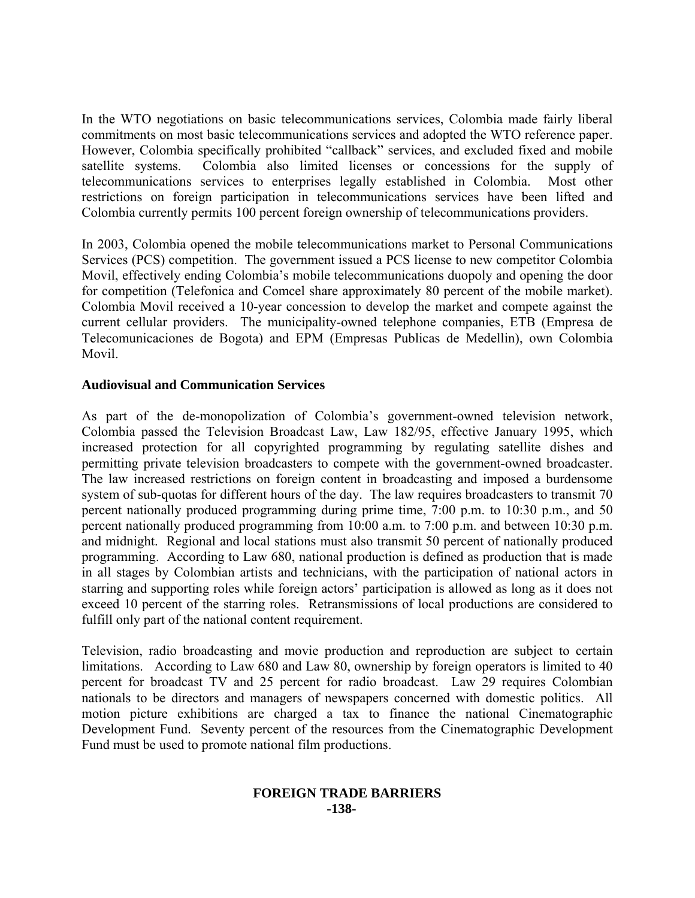In the WTO negotiations on basic telecommunications services, Colombia made fairly liberal commitments on most basic telecommunications services and adopted the WTO reference paper. However, Colombia specifically prohibited "callback" services, and excluded fixed and mobile satellite systems. Colombia also limited licenses or concessions for the supply of telecommunications services to enterprises legally established in Colombia. Most other restrictions on foreign participation in telecommunications services have been lifted and Colombia currently permits 100 percent foreign ownership of telecommunications providers.

In 2003, Colombia opened the mobile telecommunications market to Personal Communications Services (PCS) competition. The government issued a PCS license to new competitor Colombia Movil, effectively ending Colombia's mobile telecommunications duopoly and opening the door for competition (Telefonica and Comcel share approximately 80 percent of the mobile market). Colombia Movil received a 10-year concession to develop the market and compete against the current cellular providers. The municipality-owned telephone companies, ETB (Empresa de Telecomunicaciones de Bogota) and EPM (Empresas Publicas de Medellin), own Colombia Movil.

## **Audiovisual and Communication Services**

As part of the de-monopolization of Colombia's government-owned television network, Colombia passed the Television Broadcast Law, Law 182/95, effective January 1995, which increased protection for all copyrighted programming by regulating satellite dishes and permitting private television broadcasters to compete with the government-owned broadcaster. The law increased restrictions on foreign content in broadcasting and imposed a burdensome system of sub-quotas for different hours of the day. The law requires broadcasters to transmit 70 percent nationally produced programming during prime time, 7:00 p.m. to 10:30 p.m., and 50 percent nationally produced programming from 10:00 a.m. to 7:00 p.m. and between 10:30 p.m. and midnight. Regional and local stations must also transmit 50 percent of nationally produced programming. According to Law 680, national production is defined as production that is made in all stages by Colombian artists and technicians, with the participation of national actors in starring and supporting roles while foreign actors' participation is allowed as long as it does not exceed 10 percent of the starring roles. Retransmissions of local productions are considered to fulfill only part of the national content requirement.

Television, radio broadcasting and movie production and reproduction are subject to certain limitations. According to Law 680 and Law 80, ownership by foreign operators is limited to 40 percent for broadcast TV and 25 percent for radio broadcast. Law 29 requires Colombian nationals to be directors and managers of newspapers concerned with domestic politics. All motion picture exhibitions are charged a tax to finance the national Cinematographic Development Fund. Seventy percent of the resources from the Cinematographic Development Fund must be used to promote national film productions.

#### **FOREIGN TRADE BARRIERS -138-**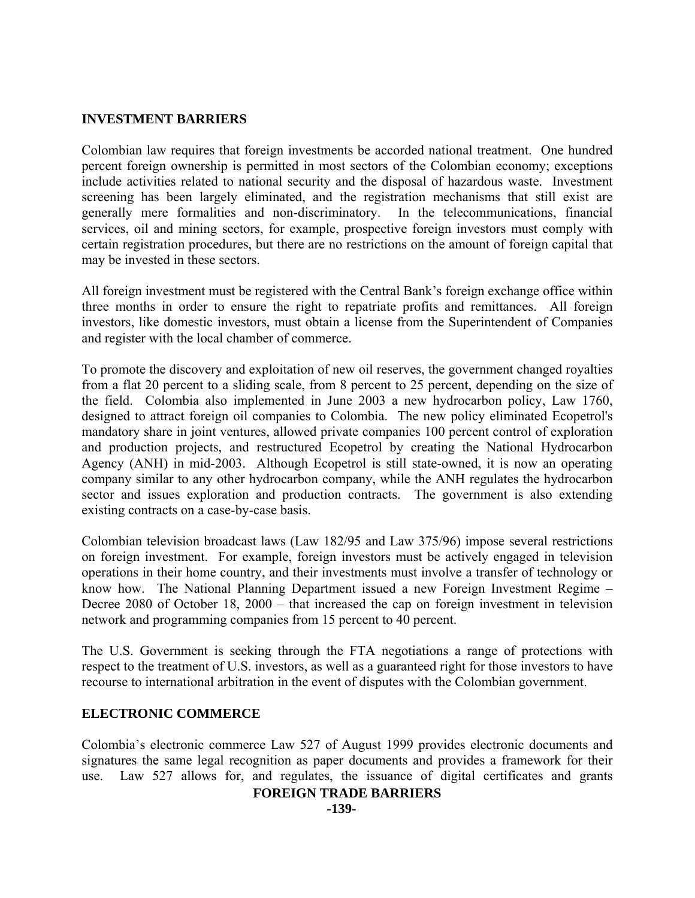#### **INVESTMENT BARRIERS**

Colombian law requires that foreign investments be accorded national treatment. One hundred percent foreign ownership is permitted in most sectors of the Colombian economy; exceptions include activities related to national security and the disposal of hazardous waste. Investment screening has been largely eliminated, and the registration mechanisms that still exist are generally mere formalities and non-discriminatory. In the telecommunications, financial services, oil and mining sectors, for example, prospective foreign investors must comply with certain registration procedures, but there are no restrictions on the amount of foreign capital that may be invested in these sectors.

All foreign investment must be registered with the Central Bank's foreign exchange office within three months in order to ensure the right to repatriate profits and remittances. All foreign investors, like domestic investors, must obtain a license from the Superintendent of Companies and register with the local chamber of commerce.

To promote the discovery and exploitation of new oil reserves, the government changed royalties from a flat 20 percent to a sliding scale, from 8 percent to 25 percent, depending on the size of the field. Colombia also implemented in June 2003 a new hydrocarbon policy, Law 1760, designed to attract foreign oil companies to Colombia. The new policy eliminated Ecopetrol's mandatory share in joint ventures, allowed private companies 100 percent control of exploration and production projects, and restructured Ecopetrol by creating the National Hydrocarbon Agency (ANH) in mid-2003. Although Ecopetrol is still state-owned, it is now an operating company similar to any other hydrocarbon company, while the ANH regulates the hydrocarbon sector and issues exploration and production contracts. The government is also extending existing contracts on a case-by-case basis.

Colombian television broadcast laws (Law 182/95 and Law 375/96) impose several restrictions on foreign investment. For example, foreign investors must be actively engaged in television operations in their home country, and their investments must involve a transfer of technology or know how. The National Planning Department issued a new Foreign Investment Regime – Decree 2080 of October 18, 2000 – that increased the cap on foreign investment in television network and programming companies from 15 percent to 40 percent.

The U.S. Government is seeking through the FTA negotiations a range of protections with respect to the treatment of U.S. investors, as well as a guaranteed right for those investors to have recourse to international arbitration in the event of disputes with the Colombian government.

#### **ELECTRONIC COMMERCE**

Colombia's electronic commerce Law 527 of August 1999 provides electronic documents and signatures the same legal recognition as paper documents and provides a framework for their use. Law 527 allows for, and regulates, the issuance of digital certificates and grants

#### **FOREIGN TRADE BARRIERS**

**-139-**